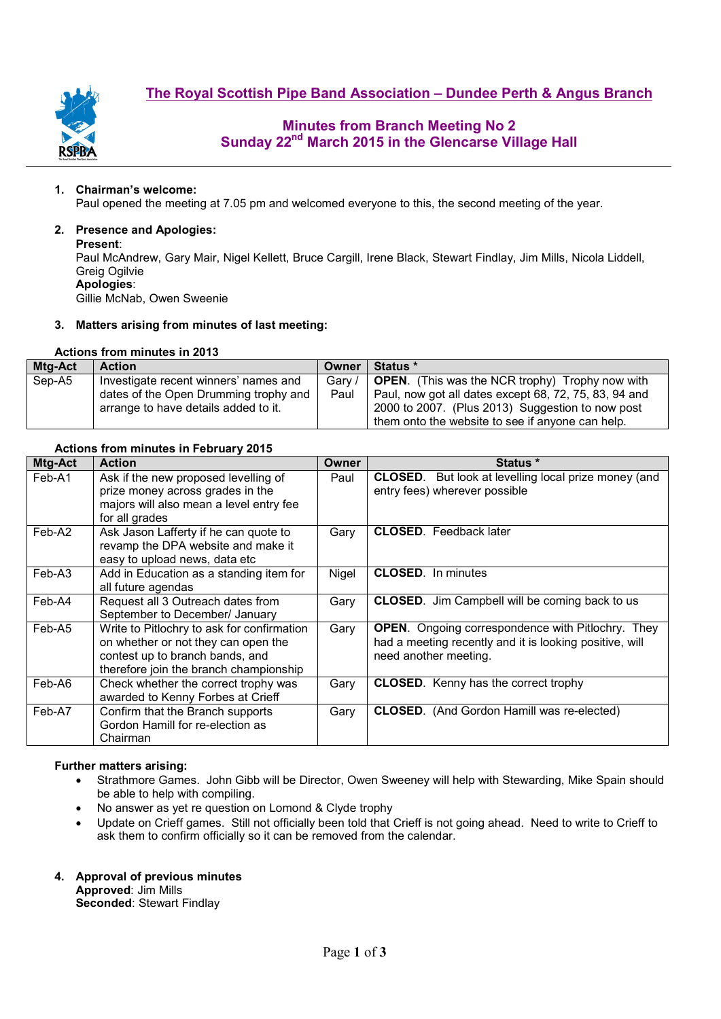



# **Minutes from Branch Meeting No 2 Sunday 22nd March 2015 in the Glencarse Village Hall**

#### **1. Chairman's welcome:**

Paul opened the meeting at 7.05 pm and welcomed everyone to this, the second meeting of the year.

#### **2. Presence and Apologies:**

#### **Present**:

Paul McAndrew, Gary Mair, Nigel Kellett, Bruce Cargill, Irene Black, Stewart Findlay, Jim Mills, Nicola Liddell, Greig Ogilvie **Apologies**:

Gillie McNab, Owen Sweenie

#### **3. Matters arising from minutes of last meeting:**

## **Actions from minutes in 2013**

| Mtg-Act | <b>Action</b>                         | Owner  | <b>Status</b> *                                        |
|---------|---------------------------------------|--------|--------------------------------------------------------|
| Sep-A5  | Investigate recent winners' names and | Gary / | <b>OPEN.</b> (This was the NCR trophy) Trophy now with |
|         | dates of the Open Drumming trophy and | Paul   | Paul, now got all dates except 68, 72, 75, 83, 94 and  |
|         | arrange to have details added to it.  |        | 2000 to 2007. (Plus 2013) Suggestion to now post       |
|         |                                       |        | them onto the website to see if anyone can help.       |

### **Actions from minutes in February 2015**

| Mtg-Act | <b>Action</b>                                                                                                                                                  | Owner | Status *                                                                                                                                     |  |  |  |
|---------|----------------------------------------------------------------------------------------------------------------------------------------------------------------|-------|----------------------------------------------------------------------------------------------------------------------------------------------|--|--|--|
| Feb-A1  | Ask if the new proposed levelling of<br>prize money across grades in the<br>majors will also mean a level entry fee<br>for all grades                          | Paul  | <b>CLOSED.</b> But look at levelling local prize money (and<br>entry fees) wherever possible                                                 |  |  |  |
| Feb-A2  | Ask Jason Lafferty if he can quote to<br>revamp the DPA website and make it<br>easy to upload news, data etc                                                   | Gary  | <b>CLOSED.</b> Feedback later                                                                                                                |  |  |  |
| Feb-A3  | Add in Education as a standing item for<br>all future agendas                                                                                                  | Nigel | <b>CLOSED.</b> In minutes                                                                                                                    |  |  |  |
| Feb-A4  | Request all 3 Outreach dates from<br>September to December/ January                                                                                            | Gary  | <b>CLOSED.</b> Jim Campbell will be coming back to us                                                                                        |  |  |  |
| Feb-A5  | Write to Pitlochry to ask for confirmation<br>on whether or not they can open the<br>contest up to branch bands, and<br>therefore join the branch championship | Gary  | <b>OPEN.</b> Ongoing correspondence with Pitlochry. They<br>had a meeting recently and it is looking positive, will<br>need another meeting. |  |  |  |
| Feb-A6  | Check whether the correct trophy was<br>awarded to Kenny Forbes at Crieff                                                                                      | Gary  | <b>CLOSED.</b> Kenny has the correct trophy                                                                                                  |  |  |  |
| Feb-A7  | Confirm that the Branch supports<br>Gordon Hamill for re-election as<br>Chairman                                                                               | Gary  | <b>CLOSED.</b> (And Gordon Hamill was re-elected)                                                                                            |  |  |  |

#### **Further matters arising:**

- Strathmore Games. John Gibb will be Director, Owen Sweeney will help with Stewarding, Mike Spain should be able to help with compiling.
- No answer as yet re question on Lomond & Clyde trophy
- Update on Crieff games. Still not officially been told that Crieff is not going ahead. Need to write to Crieff to ask them to confirm officially so it can be removed from the calendar.
- **4. Approval of previous minutes**

**Approved**: Jim Mills **Seconded**: Stewart Findlay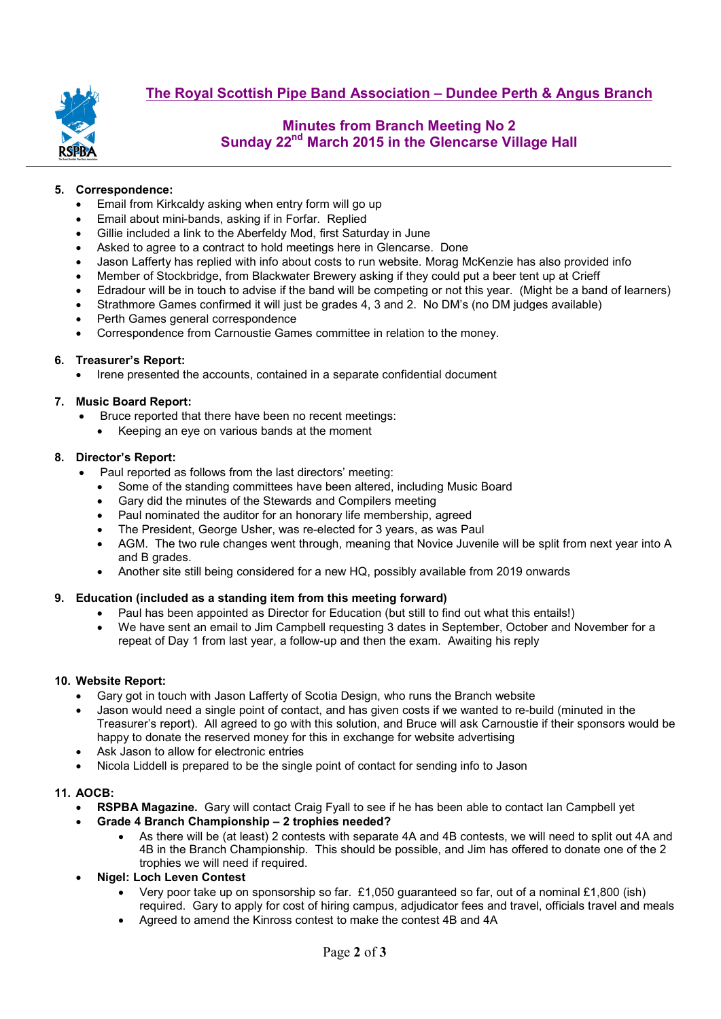

# **Minutes from Branch Meeting No 2 Sunday 22nd March 2015 in the Glencarse Village Hall**

## **5. Correspondence:**

- Email from Kirkcaldy asking when entry form will go up
- Email about mini-bands, asking if in Forfar. Replied
- Gillie included a link to the Aberfeldy Mod, first Saturday in June
- Asked to agree to a contract to hold meetings here in Glencarse. Done
- Jason Lafferty has replied with info about costs to run website. Morag McKenzie has also provided info
- Member of Stockbridge, from Blackwater Brewery asking if they could put a beer tent up at Crieff
- Edradour will be in touch to advise if the band will be competing or not this year. (Might be a band of learners)
- Strathmore Games confirmed it will just be grades 4, 3 and 2. No DM's (no DM judges available)
- Perth Games general correspondence
- Correspondence from Carnoustie Games committee in relation to the money.

### **6. Treasurer's Report:**

• Irene presented the accounts, contained in a separate confidential document

#### **7. Music Board Report:**

- Bruce reported that there have been no recent meetings:
	- Keeping an eye on various bands at the moment

#### **8. Director's Report:**

- Paul reported as follows from the last directors' meeting:
	- Some of the standing committees have been altered, including Music Board
	- Gary did the minutes of the Stewards and Compilers meeting
	- Paul nominated the auditor for an honorary life membership, agreed
	- The President, George Usher, was re-elected for 3 years, as was Paul
	- AGM. The two rule changes went through, meaning that Novice Juvenile will be split from next year into A and B grades.
	- Another site still being considered for a new HQ, possibly available from 2019 onwards

### **9. Education (included as a standing item from this meeting forward)**

- Paul has been appointed as Director for Education (but still to find out what this entails!)
- We have sent an email to Jim Campbell requesting 3 dates in September, October and November for a repeat of Day 1 from last year, a follow-up and then the exam. Awaiting his reply

## **10. Website Report:**

- Gary got in touch with Jason Lafferty of Scotia Design, who runs the Branch website
- Jason would need a single point of contact, and has given costs if we wanted to re-build (minuted in the Treasurer's report). All agreed to go with this solution, and Bruce will ask Carnoustie if their sponsors would be happy to donate the reserved money for this in exchange for website advertising
- Ask Jason to allow for electronic entries
- Nicola Liddell is prepared to be the single point of contact for sending info to Jason

### **11. AOCB:**

- **RSPBA Magazine.** Gary will contact Craig Fyall to see if he has been able to contact Ian Campbell yet
	- **Grade 4 Branch Championship 2 trophies needed?**
		- As there will be (at least) 2 contests with separate 4A and 4B contests, we will need to split out 4A and 4B in the Branch Championship. This should be possible, and Jim has offered to donate one of the 2 trophies we will need if required.
- **Nigel: Loch Leven Contest**
	- Very poor take up on sponsorship so far. £1,050 guaranteed so far, out of a nominal £1,800 (ish) required. Gary to apply for cost of hiring campus, adjudicator fees and travel, officials travel and meals
	- Agreed to amend the Kinross contest to make the contest 4B and 4A